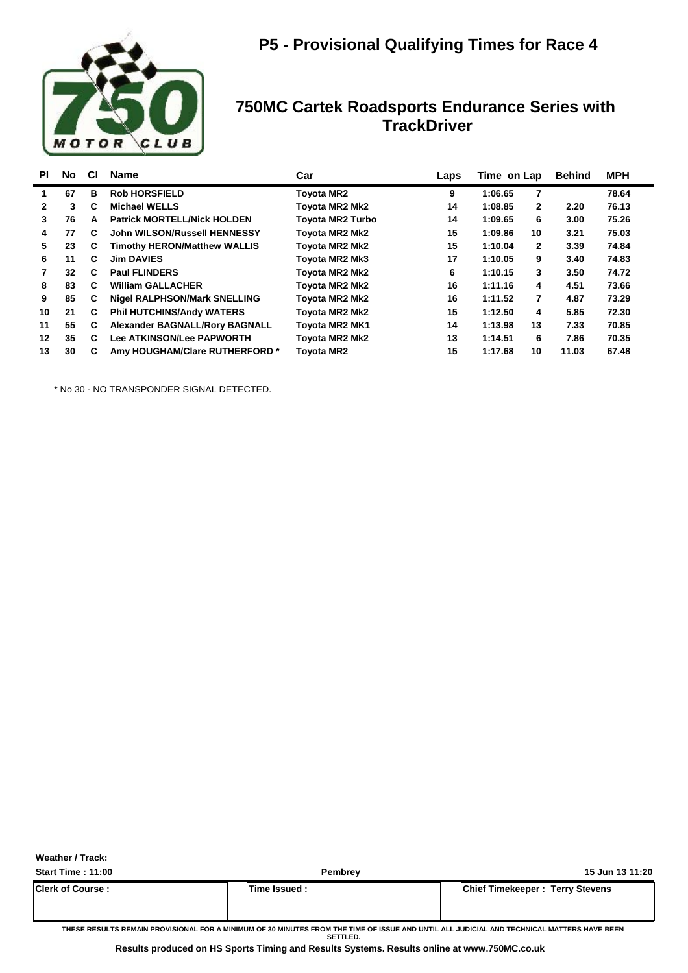

| PI           | No | <b>CI</b> | <b>Name</b>                           | Car                     | Laps | Time on Lap |              | <b>Behind</b> | <b>MPH</b> |
|--------------|----|-----------|---------------------------------------|-------------------------|------|-------------|--------------|---------------|------------|
| 1.           | 67 | в         | <b>Rob HORSFIELD</b>                  | <b>Toyota MR2</b>       | 9    | 1:06.65     | 7            |               | 78.64      |
| $\mathbf{2}$ | 3  | C         | <b>Michael WELLS</b>                  | Toyota MR2 Mk2          | 14   | 1:08.85     | $\mathbf{2}$ | 2.20          | 76.13      |
| 3            | 76 | А         | <b>Patrick MORTELL/Nick HOLDEN</b>    | <b>Toyota MR2 Turbo</b> | 14   | 1:09.65     | 6            | 3.00          | 75.26      |
| 4            | 77 | C.        | John WILSON/Russell HENNESSY          | Toyota MR2 Mk2          | 15   | 1:09.86     | 10           | 3.21          | 75.03      |
| 5            | 23 | C         | <b>Timothy HERON/Matthew WALLIS</b>   | <b>Tovota MR2 Mk2</b>   | 15   | 1:10.04     | $\mathbf{2}$ | 3.39          | 74.84      |
| 6            | 11 | C         | <b>Jim DAVIES</b>                     | Toyota MR2 Mk3          | 17   | 1:10.05     | 9            | 3.40          | 74.83      |
|              | 32 | C         | <b>Paul FLINDERS</b>                  | Toyota MR2 Mk2          | 6    | 1:10.15     | 3            | 3.50          | 74.72      |
| 8            | 83 | C         | <b>William GALLACHER</b>              | Toyota MR2 Mk2          | 16   | 1:11.16     | 4            | 4.51          | 73.66      |
| 9            | 85 | C.        | <b>Nigel RALPHSON/Mark SNELLING</b>   | Toyota MR2 Mk2          | 16   | 1:11.52     | 7            | 4.87          | 73.29      |
| 10           | 21 | C         | <b>Phil HUTCHINS/Andy WATERS</b>      | Toyota MR2 Mk2          | 15   | 1:12.50     | 4            | 5.85          | 72.30      |
| 11           | 55 | C         | <b>Alexander BAGNALL/Rory BAGNALL</b> | <b>Toyota MR2 MK1</b>   | 14   | 1:13.98     | 13           | 7.33          | 70.85      |
| 12           | 35 | C         | Lee ATKINSON/Lee PAPWORTH             | <b>Tovota MR2 Mk2</b>   | 13   | 1:14.51     | 6            | 7.86          | 70.35      |
| 13           | 30 | C         | Amy HOUGHAM/Clare RUTHERFORD *        | <b>Tovota MR2</b>       | 15   | 1:17.68     | 10           | 11.03         | 67.48      |

\* No 30 - NO TRANSPONDER SIGNAL DETECTED.

**Weather / Track:** 

| <b>Start Time: 11:00</b> | <b>Pembrev</b> | 15 Jun 13 11:20                        |
|--------------------------|----------------|----------------------------------------|
| <b>Clerk of Course :</b> | Time Issued:   | <b>Chief Timekeeper: Terry Stevens</b> |

**THESE RESULTS REMAIN PROVISIONAL FOR A MINIMUM OF 30 MINUTES FROM THE TIME OF ISSUE AND UNTIL ALL JUDICIAL AND TECHNICAL MATTERS HAVE BEEN SETTLED.**

**Results produced on HS Sports Timing and Results Systems. Results online at www.750MC.co.uk**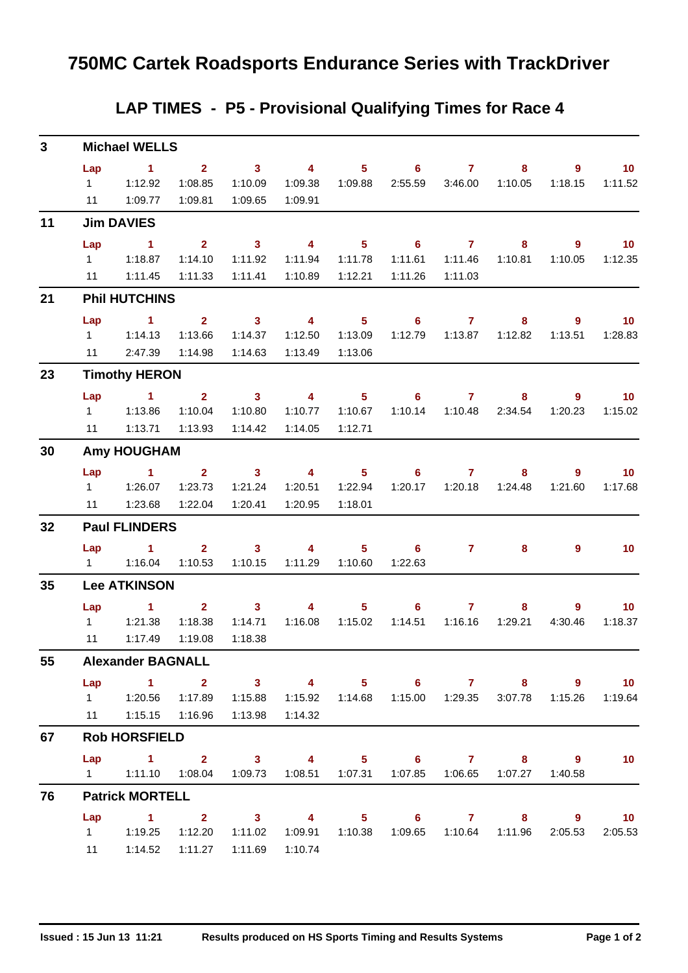### **LAP TIMES - P5 - Provisional Qualifying Times for Race 4**

| $\mathbf{3}$ |                                     | <b>Michael WELLS</b>                                                                                                                             |                                               |                                                                                                                                                                                                                                                                                                                                                                                                                                               |                                               |                                                  |                                                  |                                      |                                             |                           |                              |
|--------------|-------------------------------------|--------------------------------------------------------------------------------------------------------------------------------------------------|-----------------------------------------------|-----------------------------------------------------------------------------------------------------------------------------------------------------------------------------------------------------------------------------------------------------------------------------------------------------------------------------------------------------------------------------------------------------------------------------------------------|-----------------------------------------------|--------------------------------------------------|--------------------------------------------------|--------------------------------------|---------------------------------------------|---------------------------|------------------------------|
|              | Lap<br>$1 \quad \Box$<br>11         | $\sim$ 1<br>1:12.92<br>1:09.77                                                                                                                   | $2^{\circ}$<br>1:08.85<br>1:09.81             | $\overline{\mathbf{3}}$<br>1:10.09<br>1:09.65                                                                                                                                                                                                                                                                                                                                                                                                 | $\overline{4}$<br>1:09.38<br>1:09.91          | 5 <sub>1</sub><br>1:09.88                        | 2:55.59                                          | $\overline{6}$ 7<br>3:46.00          | 8<br>1:10.05                                | $\overline{9}$<br>1:18.15 | 10<br>1:11.52                |
| 11           |                                     | <b>Jim DAVIES</b>                                                                                                                                |                                               |                                                                                                                                                                                                                                                                                                                                                                                                                                               |                                               |                                                  |                                                  |                                      |                                             |                           |                              |
|              | Lap<br>$1 \quad \Box$               | $\sim$ 1<br>1:18.87<br>11  1:11.45                                                                                                               | $2^{\circ}$<br>1:14.10<br>1:11.33             | $\overline{\mathbf{3}}$<br>1:11.92<br>1:11.41                                                                                                                                                                                                                                                                                                                                                                                                 | $\overline{4}$<br>1:11.94<br>1:10.89          | 5 <sub>1</sub><br>1:11.78<br>1:12.21             | $\overline{\phantom{a}}$ 6<br>1:11.61<br>1:11.26 | $\overline{7}$<br>1:11.46<br>1:11.03 | 8 <sup>°</sup><br>1:10.81                   | $\overline{9}$<br>1:10.05 | 10<br>1:12.35                |
| 21           |                                     | <b>Phil HUTCHINS</b>                                                                                                                             |                                               |                                                                                                                                                                                                                                                                                                                                                                                                                                               |                                               |                                                  |                                                  |                                      |                                             |                           |                              |
|              | Lap<br>$1 \quad \blacksquare$<br>11 | $\sim$ 1<br>1:14.13<br>2:47.39                                                                                                                   | $2^{\circ}$<br>1:13.66<br>1:14.98             | $\overline{\mathbf{3}}$<br>1:14.37<br>1:14.63                                                                                                                                                                                                                                                                                                                                                                                                 | $\overline{4}$<br>1:12.50<br>1:13.49          | $\overline{\phantom{1}}$ 5<br>1:13.09<br>1:13.06 | 1:12.79                                          | $6\qquad 7$<br>1:13.87               | 8<br>1:12.82                                | $\overline{9}$<br>1:13.51 | $\overline{10}$<br>1:28.83   |
| 23           |                                     | <b>Timothy HERON</b>                                                                                                                             |                                               |                                                                                                                                                                                                                                                                                                                                                                                                                                               |                                               |                                                  |                                                  |                                      |                                             |                           |                              |
|              | Lap<br>$1 \quad$                    | <b>Contract of the State State</b><br>1:13.86<br>11  1:13.71  1:13.93                                                                            | $2^{\circ}$<br>1:10.04                        | $\overline{\mathbf{3}}$<br>1:10.80<br>1:14.42                                                                                                                                                                                                                                                                                                                                                                                                 | $\overline{\mathbf{4}}$<br>1:10.77<br>1:14.05 | $5 -$<br>1:10.67<br>1:12.71                      | $6 -$<br>1:10.14                                 | $\overline{7}$<br>1:10.48            | $\overline{\mathbf{8}}$<br>2:34.54          | $\overline{9}$<br>1:20.23 | 10<br>1:15.02                |
| 30           |                                     | <b>Amy HOUGHAM</b>                                                                                                                               |                                               |                                                                                                                                                                                                                                                                                                                                                                                                                                               |                                               |                                                  |                                                  |                                      |                                             |                           |                              |
|              | 11                                  | Lap 1<br>1:23.68                                                                                                                                 | $\overline{\mathbf{2}}$<br>1:23.73<br>1:22.04 | $\sim$ 3<br>1:21.24<br>1:20.41                                                                                                                                                                                                                                                                                                                                                                                                                | $\overline{\mathbf{4}}$<br>1:20.51<br>1:20.95 | $\overline{\phantom{1}}$ 5<br>1:22.94<br>1:18.01 | 1:20.17                                          | 67<br>1:20.18                        | 8<br>1:24.48                                | 9<br>1:21.60              | $\blacksquare$ 10<br>1:17.68 |
| 32           |                                     | <b>Paul FLINDERS</b>                                                                                                                             |                                               |                                                                                                                                                                                                                                                                                                                                                                                                                                               |                                               |                                                  |                                                  |                                      |                                             |                           |                              |
|              | Lap                                 | $\sim$ $\sim$ 1                                                                                                                                  | $2^{\circ}$<br>1:10.53                        | $\overline{\mathbf{3}}$<br>1:10.15                                                                                                                                                                                                                                                                                                                                                                                                            | $\overline{\mathbf{4}}$<br>1:11.29            | $5 -$<br>1:10.60                                 | 1:22.63                                          | $6$ $7$ $8$                          |                                             | $\overline{9}$            | 10 <sub>1</sub>              |
| 35           |                                     | <b>Lee ATKINSON</b>                                                                                                                              |                                               |                                                                                                                                                                                                                                                                                                                                                                                                                                               |                                               |                                                  |                                                  |                                      |                                             |                           |                              |
|              | Lap<br>11                           | $\sim$ 1<br>1:17.49                                                                                                                              | 1:18.38<br>1:19.08                            | 3 <sup>7</sup><br>$\overline{\mathbf{2}}$ and $\overline{\mathbf{2}}$ and $\overline{\mathbf{2}}$ and $\overline{\mathbf{2}}$ and $\overline{\mathbf{2}}$ and $\overline{\mathbf{2}}$ and $\overline{\mathbf{2}}$ and $\overline{\mathbf{2}}$ and $\overline{\mathbf{2}}$ and $\overline{\mathbf{2}}$ and $\overline{\mathbf{2}}$ and $\overline{\mathbf{2}}$ and $\overline{\mathbf{2}}$ and $\overline{\mathbf{2}}$ a<br>1:14.71<br>1:18.38 | 4                                             | 5 <sub>1</sub><br>1:16.08  1:15.02               | 6<br>1:14.51                                     | $\mathbf{7}$<br>1:16.16              | 8<br>1:29.21                                | $9^{\circ}$<br>4:30.46    | 10 <sub>1</sub><br>1:18.37   |
| 55           |                                     | <b>Alexander BAGNALL</b>                                                                                                                         |                                               |                                                                                                                                                                                                                                                                                                                                                                                                                                               |                                               |                                                  |                                                  |                                      |                                             |                           |                              |
|              | Lap                                 | $1 \t 2 \t 3$<br>1   1:20.56   1:17.89   1:15.88   1:15.92   1:14.68   1:15.00   1:29.35   3:07.78   1:15.26   1:19.64<br>11   1:15.15   1:16.96 |                                               | 1:13.98                                                                                                                                                                                                                                                                                                                                                                                                                                       | 1:14.32                                       |                                                  |                                                  |                                      | 4 5 6 7 8 9                                 |                           | 10                           |
| 67           |                                     | <b>Rob HORSFIELD</b>                                                                                                                             |                                               |                                                                                                                                                                                                                                                                                                                                                                                                                                               |                                               |                                                  |                                                  |                                      |                                             |                           |                              |
|              |                                     | Lap 1 2 3 4 5 6 7 8 9<br>1   1:11.10   1:08.04   1:09.73   1:08.51   1:07.31                                                                     |                                               |                                                                                                                                                                                                                                                                                                                                                                                                                                               |                                               |                                                  |                                                  |                                      | 1:07.27                                     | 1:40.58                   | 10                           |
| 76           |                                     | <b>Patrick MORTELL</b>                                                                                                                           |                                               |                                                                                                                                                                                                                                                                                                                                                                                                                                               |                                               |                                                  |                                                  |                                      |                                             |                           |                              |
|              | $1 \quad \Box$<br>11                | Lap 1 2 3 4 5 6 7 8 9 10                                                                                                                         |                                               | 1:11.02<br>1:11.69                                                                                                                                                                                                                                                                                                                                                                                                                            | 1:10.74                                       |                                                  |                                                  |                                      | 1:09.91  1:10.38  1:09.65  1:10.64  1:11.96 | 2:05.53                   | 2:05.53                      |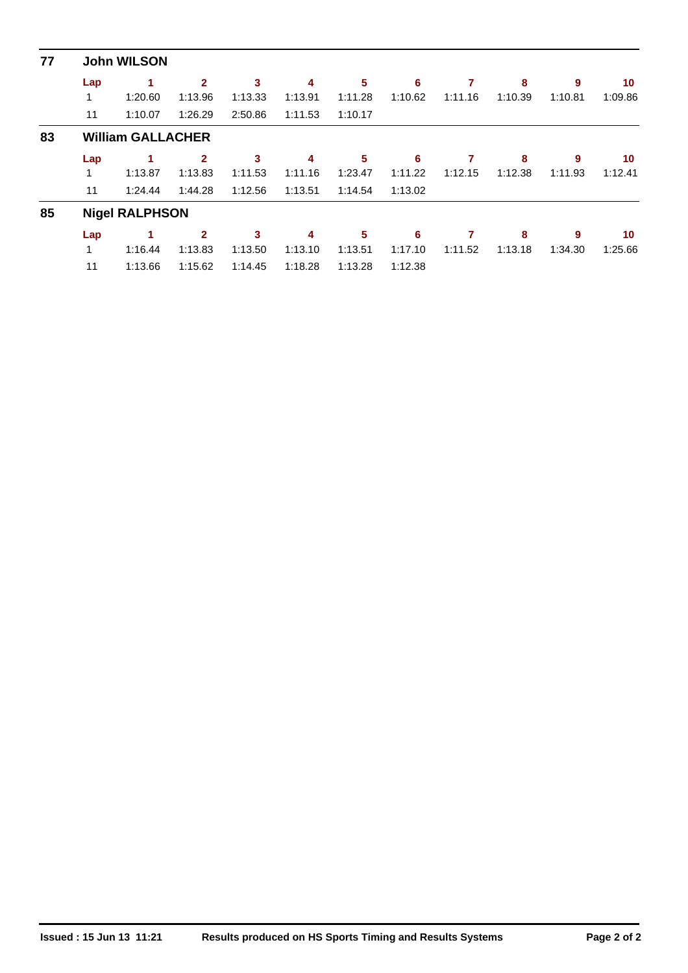| 77 |     | <b>John WILSON</b>       |                |         |         |         |         |         |         |         |         |
|----|-----|--------------------------|----------------|---------|---------|---------|---------|---------|---------|---------|---------|
|    | Lap | 1                        | $\mathbf{2}$   | 3       | 4       | 5       | 6       | 7       | 8       | 9       | 10      |
|    |     | 1:20.60                  | 1:13.96        | 1:13.33 | 1:13.91 | 1:11.28 | 1:10.62 | 1:11.16 | 1:10.39 | 1:10.81 | 1:09.86 |
|    | 11  | 1:10.07                  | 1:26.29        | 2:50.86 | 1:11.53 | 1:10.17 |         |         |         |         |         |
| 83 |     | <b>William GALLACHER</b> |                |         |         |         |         |         |         |         |         |
|    | Lap | 1                        | $\overline{2}$ | 3       | 4       | 5       | 6       | 7       | 8       | 9       | 10      |
|    | 1   | 1:13.87                  | 1:13.83        | 1:11.53 | 1:11.16 | 1:23.47 | 1:11.22 | 1:12.15 | 1:12.38 | 1:11.93 | 1:12.41 |
|    | 11  | 1:24.44                  | 1:44.28        | 1:12.56 | 1:13.51 | 1:14.54 | 1:13.02 |         |         |         |         |
| 85 |     | <b>Nigel RALPHSON</b>    |                |         |         |         |         |         |         |         |         |
|    | Lap |                          | $\mathbf{2}$   | 3       | 4       | 5       | 6       | 7       | 8       | 9       | 10      |
|    | 1   | 1:16.44                  | 1:13.83        | 1:13.50 | 1:13.10 | 1:13.51 | 1:17.10 | 1:11.52 | 1:13.18 | 1:34.30 | 1:25.66 |
|    | 11  | 1:13.66                  | 1:15.62        | 1:14.45 | 1:18.28 | 1:13.28 | 1:12.38 |         |         |         |         |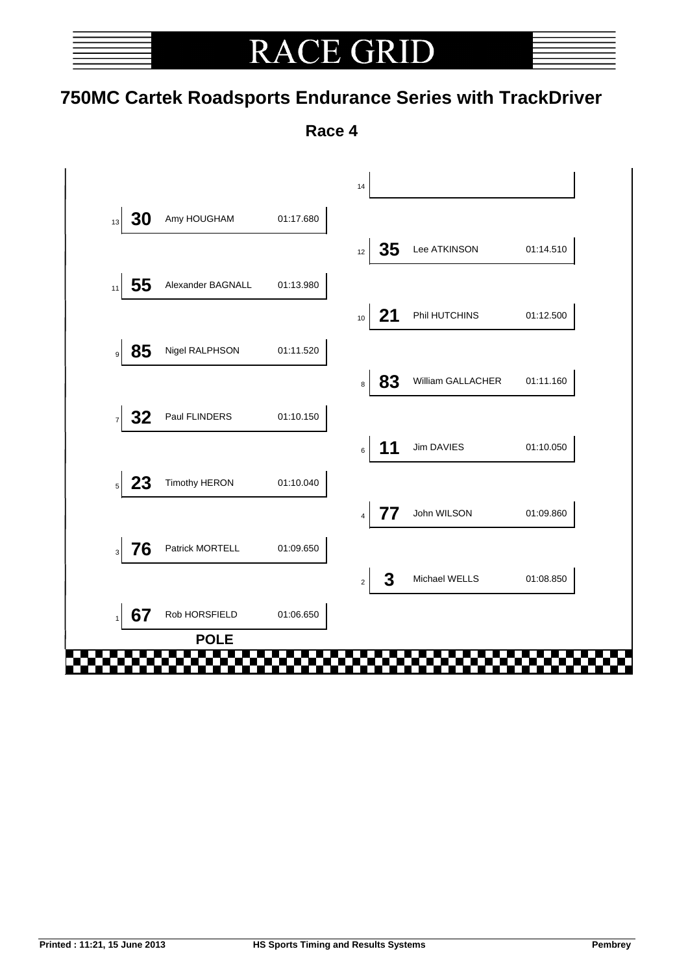# **RACE GRI**

### **750MC Cartek Roadsports Endurance Series with TrackDriver**

**Race 4**

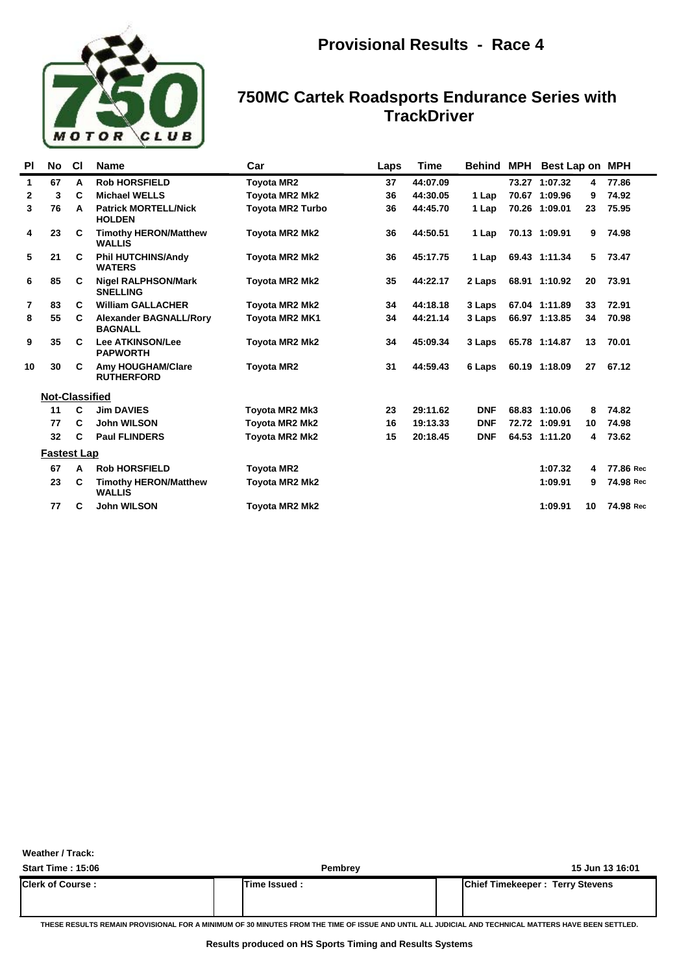

| <b>PI</b>    | No.                   | <b>CI</b> | <b>Name</b>                                     | Car                     | Laps | <b>Time</b> | <b>Behind MPH</b> | Best Lap on MPH |    |           |
|--------------|-----------------------|-----------|-------------------------------------------------|-------------------------|------|-------------|-------------------|-----------------|----|-----------|
| $\mathbf{1}$ | 67                    | A         | <b>Rob HORSFIELD</b>                            | <b>Toyota MR2</b>       | 37   | 44:07.09    |                   | 73.27 1:07.32   | 4  | 77.86     |
| $\mathbf{2}$ | 3                     | C         | <b>Michael WELLS</b>                            | <b>Toyota MR2 Mk2</b>   | 36   | 44:30.05    | 1 Lap             | 70.67 1:09.96   | 9  | 74.92     |
| 3            | 76                    | A         | <b>Patrick MORTELL/Nick</b><br><b>HOLDEN</b>    | <b>Toyota MR2 Turbo</b> | 36   | 44:45.70    | 1 Lap             | 70.26 1:09.01   | 23 | 75.95     |
| 4            | 23                    | C         | <b>Timothy HERON/Matthew</b><br><b>WALLIS</b>   | <b>Toyota MR2 Mk2</b>   | 36   | 44:50.51    | 1 Lap             | 70.13 1:09.91   | 9  | 74.98     |
| 5            | 21                    | C         | <b>Phil HUTCHINS/Andy</b><br><b>WATERS</b>      | <b>Toyota MR2 Mk2</b>   | 36   | 45:17.75    | 1 Lap             | 69.43 1:11.34   | 5  | 73.47     |
| 6            | 85                    | C         | <b>Nigel RALPHSON/Mark</b><br><b>SNELLING</b>   | <b>Toyota MR2 Mk2</b>   | 35   | 44:22.17    | 2 Laps            | 68.91 1:10.92   | 20 | 73.91     |
| 7            | 83                    | C         | <b>William GALLACHER</b>                        | <b>Toyota MR2 Mk2</b>   | 34   | 44:18.18    | 3 Laps            | 67.04 1:11.89   | 33 | 72.91     |
| 8            | 55                    | C         | <b>Alexander BAGNALL/Rory</b><br><b>BAGNALL</b> | <b>Toyota MR2 MK1</b>   | 34   | 44:21.14    | 3 Laps            | 66.97 1:13.85   | 34 | 70.98     |
| 9            | 35                    | C         | <b>Lee ATKINSON/Lee</b><br><b>PAPWORTH</b>      | <b>Toyota MR2 Mk2</b>   | 34   | 45:09.34    | 3 Laps            | 65.78 1:14.87   | 13 | 70.01     |
| 10           | 30                    | C         | <b>Amy HOUGHAM/Clare</b><br><b>RUTHERFORD</b>   | <b>Toyota MR2</b>       | 31   | 44:59.43    | 6 Laps            | 60.19 1:18.09   | 27 | 67.12     |
|              | <b>Not-Classified</b> |           |                                                 |                         |      |             |                   |                 |    |           |
|              | 11                    | C         | <b>Jim DAVIES</b>                               | Toyota MR2 Mk3          | 23   | 29:11.62    | <b>DNF</b>        | 68.83 1:10.06   | 8  | 74.82     |
|              | 77                    | C         | <b>John WILSON</b>                              | Toyota MR2 Mk2          | 16   | 19:13.33    | <b>DNF</b>        | 72.72 1:09.91   | 10 | 74.98     |
|              | 32                    | C         | <b>Paul FLINDERS</b>                            | Toyota MR2 Mk2          | 15   | 20:18.45    | <b>DNF</b>        | 64.53 1:11.20   | 4  | 73.62     |
|              | <b>Fastest Lap</b>    |           |                                                 |                         |      |             |                   |                 |    |           |
|              | 67                    | A         | <b>Rob HORSFIELD</b>                            | <b>Toyota MR2</b>       |      |             |                   | 1:07.32         | 4  | 77.86 Rec |
|              | 23                    | C         | <b>Timothy HERON/Matthew</b><br><b>WALLIS</b>   | <b>Toyota MR2 Mk2</b>   |      |             |                   | 1:09.91         | 9  | 74.98 Rec |
|              | 77                    | C         | <b>John WILSON</b>                              | <b>Toyota MR2 Mk2</b>   |      |             |                   | 1:09.91         | 10 | 74.98 Rec |

**Weather / Track:** 

| <b>Start Time: 15:06</b> | <b>Pembrev</b> | 15 Jun 13 16:01                        |
|--------------------------|----------------|----------------------------------------|
| <b>Clerk of Course:</b>  | Time Issued:   | <b>Chief Timekeeper: Terry Stevens</b> |

**THESE RESULTS REMAIN PROVISIONAL FOR A MINIMUM OF 30 MINUTES FROM THE TIME OF ISSUE AND UNTIL ALL JUDICIAL AND TECHNICAL MATTERS HAVE BEEN SETTLED.**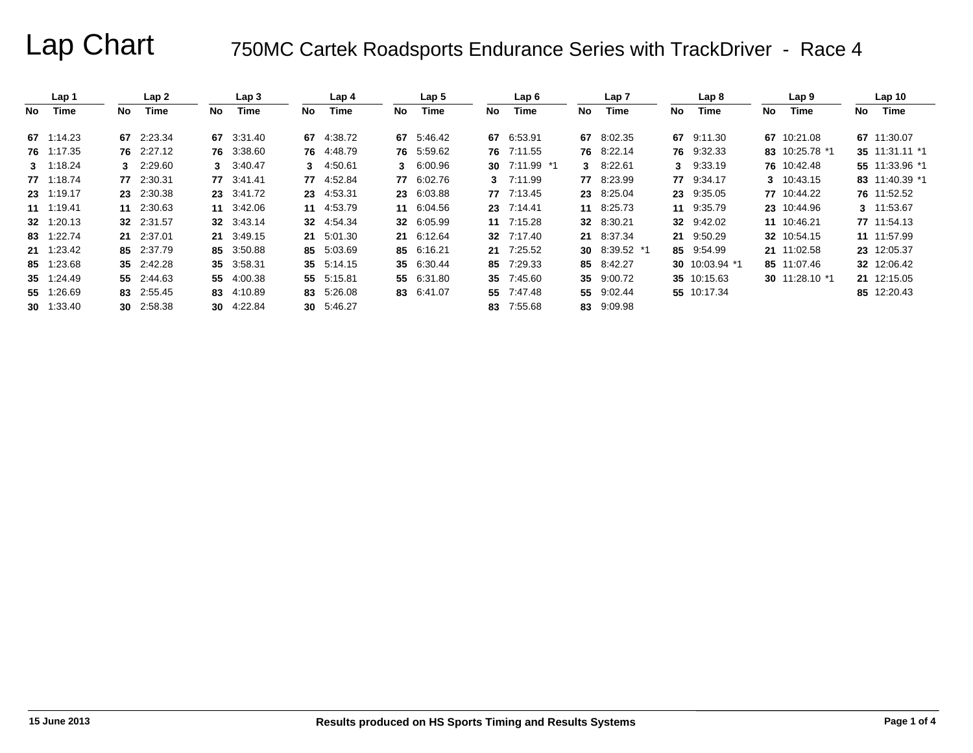|    | Lap 1             |     | Lap <sub>2</sub> |     | Lap <sub>3</sub> |     | Lap <sub>4</sub> |     | Lap 5      |     | Lap6          |     | Lap 7         |     | Lap <sub>8</sub> |      | Lap 9          |     | Lap <sub>10</sub> |
|----|-------------------|-----|------------------|-----|------------------|-----|------------------|-----|------------|-----|---------------|-----|---------------|-----|------------------|------|----------------|-----|-------------------|
| No | Time              | No. | Time             | No. | Time             | No. | Time             | No. | Time       | No. | Time          | No. | Time          | No. | Time             | No l | Time           | No. | Time              |
|    | 67 1:14.23        |     | 67 2:23.34       |     | 67 3:31.40       | 67  | 4:38.72          |     | 67 5:46.42 | 67  | 6:53.91       |     | 67 8:02.35    | 67  | 9:11.30          |      | 67 10:21.08    |     | 67 11:30.07       |
|    | 76 1:17.35        |     | 76 2:27.12       |     | 76 3:38.60       |     | 76 4:48.79       |     | 76 5:59.62 |     | 76 7:11.55    |     | 76 8:22.14    |     | 76 9:32.33       |      | 83 10:25.78 *1 |     | 35 11:31.11 *1    |
|    | $3 \quad 1:18.24$ |     | 3 2:29.60        |     | 3 3:40.47        | 3   | 4:50.61          |     | 3 6:00.96  |     | 30 7:11.99 *1 |     | 3 8:22.61     |     | 3 9:33.19        |      | 76 10:42.48    |     | 55 11:33.96 *1    |
|    | 77 1:18.74        |     | 77 2:30.31       |     | 77 3:41.41       | 77  | 4:52.84          |     | 77 6:02.76 |     | 3 7:11.99     |     | 77 8:23.99    |     | 77 9:34.17       |      | 3 10:43.15     |     | 83 11:40.39 *1    |
|    | 23 1:19.17        |     | 23 2:30.38       |     | 23 3:41.72       | 23  | 4:53.31          |     | 23 6:03.88 |     | 77 7:13.45    |     | 23 8:25.04    |     | 23 9:35.05       |      | 77 10:44.22    |     | 76 11:52.52       |
|    | 11 1:19.41        |     | 11 2:30.63       |     | 11 3:42.06       |     | 11 4:53.79       |     | 11 6:04.56 |     | 23 7:14.41    |     | 11 8:25.73    |     | 11 9:35.79       |      | 23 10:44.96    |     | 3 11:53.67        |
|    | 32 1:20.13        |     | 32 2:31.57       |     | 32 3:43.14       |     | 32 4:54.34       |     | 32 6:05.99 |     | 11 7:15.28    |     | 32 8:30.21    |     | 32 9:42.02       |      | 11 10:46.21    |     | 77 11:54.13       |
|    | 83 1:22.74        |     | 21 2:37.01       |     | 21 3:49.15       |     | 21 5:01.30       |     | 21 6:12.64 |     | 32 7:17.40    |     | 21 8:37.34    |     | 21 9:50.29       |      | 32 10:54.15    |     | 11 11:57.99       |
|    | 21 1:23.42        |     | 85 2:37.79       |     | 85 3:50.88       | 85  | 5:03.69          |     | 85 6:16.21 |     | 21 7:25.52    |     | 30 8:39.52 *1 |     | 85 9:54.99       |      | 21 11:02.58    |     | 23 12:05.37       |
|    | 85 1:23.68        |     | 35 2:42.28       |     | 35 3:58.31       |     | 35 5:14.15       |     | 35 6:30.44 |     | 85 7:29.33    |     | 85 8:42.27    |     | 30 10:03.94 *1   |      | 85 11:07.46    |     | 32 12:06.42       |
|    | 35 1:24.49        |     | 55 2:44.63       |     | 55 4:00.38       | 55  | 5:15.81          |     | 55 6:31.80 |     | 35 7:45.60    |     | 35 9:00.72    |     | 35 10:15.63      |      | 30 11:28.10 *1 |     | 21 12:15.05       |
|    | 55 1:26.69        |     | 83 2:55.45       |     | 83 4:10.89       | 83  | 5:26.08          |     | 83 6:41.07 |     | 55 7:47.48    |     | 55 9:02.44    |     | 55 10:17.34      |      |                |     | 85 12:20.43       |
|    | <b>30</b> 1:33.40 |     | 30 2:58.38       |     | 30 4:22.84       |     | 30 5:46.27       |     |            | 83  | 7:55.68       |     | 83 9:09.98    |     |                  |      |                |     |                   |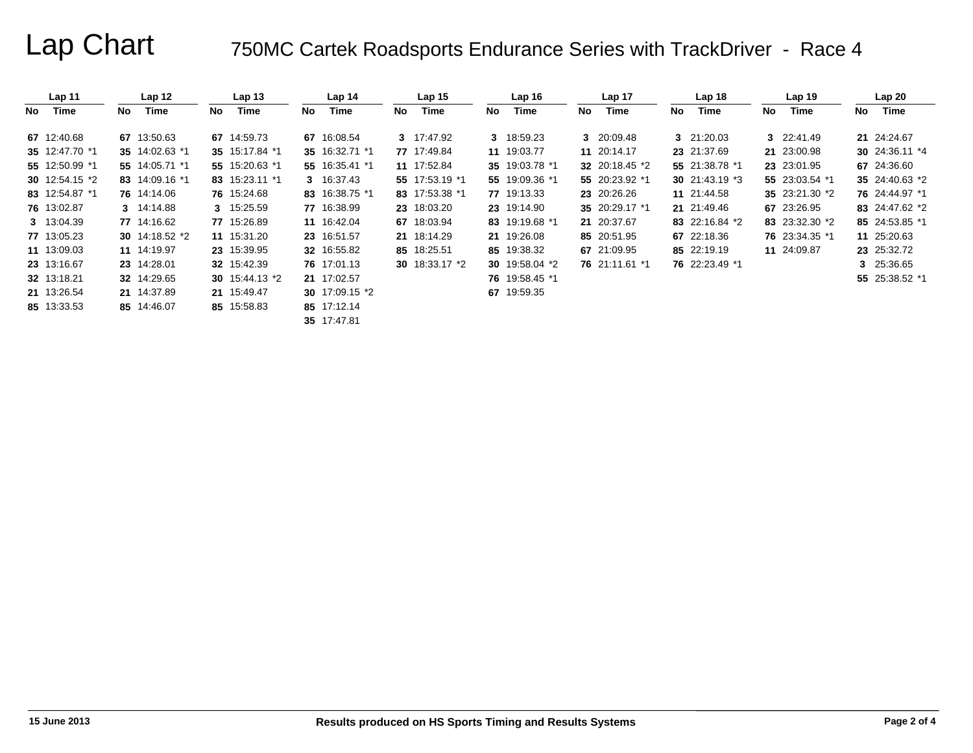|    | Lap 11                 |     | Lap <sub>12</sub> |     | Lap <sub>13</sub> |     | Lap <sub>14</sub> |    | Lap <sub>15</sub>      |    | Lap <sub>16</sub> |    | Lap <sub>17</sub>     |     | Lap <sub>18</sub> |     | Lap <sub>19</sub> |    | Lap20            |
|----|------------------------|-----|-------------------|-----|-------------------|-----|-------------------|----|------------------------|----|-------------------|----|-----------------------|-----|-------------------|-----|-------------------|----|------------------|
| No | Time                   | No. | Time              | No. | Time              | No. | Time              | No | Time                   | No | Time              | No | Time                  | No. | Time              | No. | Time              | No | Time             |
|    | 67 12:40.68            |     | 67 13:50.63       |     | 67 14:59.73       |     | 67 16:08.54       |    | 3 17:47.92             |    | 3 18:59.23        |    | 3 20:09.48            |     | 3 21:20.03        |     | 3 22:41.49        |    | 21 24:24.67      |
|    | 35 12:47.70 *1         |     | 35 14:02.63 *1    |     | 35 15:17.84 *1    |     | 35 16:32.71 *1    |    | 77 17:49.84            |    | 11 19:03.77       |    | 11 20:14.17           |     | 23 21:37.69       |     | 21 23:00.98       |    | 30 24:36.11 $*4$ |
|    | 55 12:50.99 *1         |     | 55 14:05.71 *1    |     | 55 15:20.63 *1    |     | 55 16:35.41 *1    |    | 11 17:52.84            |    | 35 19:03.78 *1    |    | <b>32</b> 20:18.45 *2 |     | 55 21:38.78 *1    |     | 23 23:01.95       |    | 67 24:36.60      |
|    | 30 $12:54.15 \times 2$ |     | 83 14:09.16 *1    |     | 83 15:23.11 *1    |     | 3 16:37.43        |    | 55 17:53.19 *1         |    | 55 19:09.36 *1    |    | 55 20:23.92 *1        |     | 30 $21:43.19$ *3  |     | 55 23:03.54 *1    |    | 35 24:40.63 *2   |
|    | 83 12:54.87 *1         |     | 76 14:14.06       |     | 76 15:24.68       |     | 83 16:38.75 *1    |    | 83 17:53.38 *1         |    | 77 19:13.33       |    | 23 20:26.26           |     | 11 21:44.58       |     | 35 23:21.30 *2    |    | 76 24:44.97 *1   |
|    | 76 13:02.87            |     | 3 14:14.88        |     | 3 15:25.59        |     | 77 16:38.99       |    | 23 18:03.20            |    | 23 19:14.90       |    | 35 20:29.17 *1        |     | 21 21:49.46       |     | 67 23:26.95       |    | 83 24:47.62 *2   |
|    | 3 13:04.39             |     | 77 14:16.62       |     | 77 15:26.89       |     | 11 16:42.04       |    | 67 18:03.94            |    | 83 19:19.68 *1    |    | 21 20:37.67           |     | 83 22:16.84 *2    |     | 83 23:32.30 *2    |    | 85 24:53.85 *1   |
|    | 77 13:05.23            |     | 30 14:18.52 *2    |     | 11 15:31.20       |     | 23 16:51.57       |    | 21 18:14.29            |    | 21 19:26.08       |    | 85 20:51.95           |     | 67 22:18.36       |     | 76 23:34.35 *1    |    | 11 25:20.63      |
|    | 11 13:09.03            |     | 11 14:19.97       |     | 23 15:39.95       |     | 32 16:55.82       |    | 85 18:25.51            |    | 85 19:38.32       |    | 67 21:09.95           |     | 85 22:19.19       |     | 11 24:09.87       |    | 23 25:32.72      |
|    | 23 13:16.67            |     | 23 14:28.01       |     | 32 15:42.39       |     | 76 17:01.13       |    | 30 $18:33.17 \times 2$ |    | 30 19:58.04 *2    |    | 76 21:11.61 *1        |     | 76 22:23.49 *1    |     |                   |    | 3 25:36.65       |
|    | 32 13:18.21            |     | 32 14:29.65       |     | 30 $15:44.13*2$   |     | 21 17:02.57       |    |                        |    | 76 19:58.45 *1    |    |                       |     |                   |     |                   |    | 55 25:38.52 *1   |
|    | 21 13:26.54            |     | 21 14:37.89       |     | 21 15:49.47       |     | 30 $17:09.15$ *2  |    |                        |    | 67 19:59.35       |    |                       |     |                   |     |                   |    |                  |
|    | 85 13:33.53            |     | 85 14:46.07       |     | 85 15:58.83       |     | 85 17:12.14       |    |                        |    |                   |    |                       |     |                   |     |                   |    |                  |

**35** 17:47.81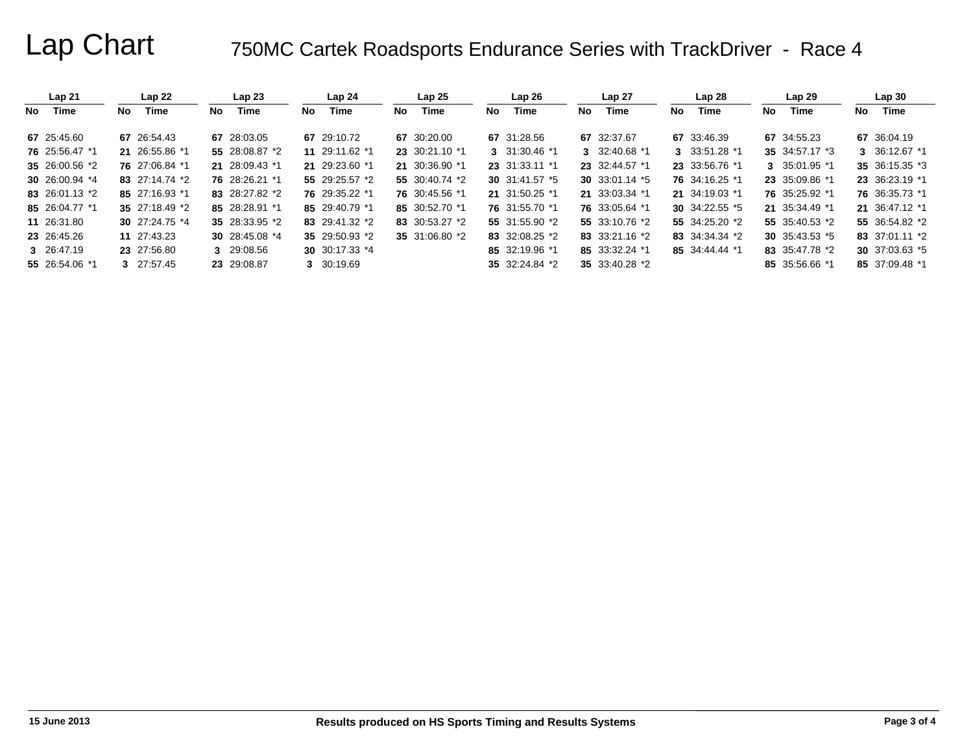|    | Lap21          |     | Lap22          |    | Lap23           |     | Lap <sub>24</sub> |     | Lap25          |    | Lap26          |     | Lap 27           |     | Lap28          |     | Lap29           |    | Lap30          |
|----|----------------|-----|----------------|----|-----------------|-----|-------------------|-----|----------------|----|----------------|-----|------------------|-----|----------------|-----|-----------------|----|----------------|
| No | Time           | No. | Time           | No | Time            | No. | <b>Time</b>       | No. | Time           | No | Time           | No. | Time             | No. | Time           | No. | <b>Time</b>     | No | Time           |
|    | 67 25:45.60    |     | 67 26:54.43    |    | 67 28:03.05     |     | 67 29:10.72       |     | 67 30:20.00    |    | 67 31:28.56    |     | 67 32:37.67      |     | 67 33:46.39    |     | 67 34:55.23     |    | 67 36:04.19    |
|    | 76 25:56.47 *1 |     | 21 26:55.86 *1 |    | 55 28:08.87 *2  |     | 11 29:11.62 *1    |     | 23 30:21.10 *1 |    | 3 31:30.46 *1  |     | 3 32:40.68 *1    |     | 3 33:51.28 *1  |     | 35 34:57.17 *3  |    | 3 36:12.67 *1  |
|    | 35 26:00.56 *2 |     | 76 27:06.84 *1 |    | 21 28:09.43 *1  | 21  | 29:23.60 *1       |     | 21 30:36.90 *1 |    | 23 31:33.11 *1 |     | 23 32:44.57 *1   |     | 23 33:56.76 *1 |     | 3 35:01.95 *1   |    | 35 36:15.35 *3 |
|    | 30 26:00.94 *4 |     | 83 27:14.74 *2 |    | 76 28:26.21 *1  |     | 55 29:25.57 *2    |     | 55 30:40.74 *2 |    | 30 31:41.57 *5 |     | 30 $33:01.14$ *5 |     | 76 34:16.25 *1 |     | 23 35:09.86 *1  |    | 23 36:23.19 *1 |
|    | 83 26:01.13 *2 |     | 85 27:16.93 *1 |    | 83 28:27.82 *2  |     | 76 29:35.22 *1    |     | 76 30:45.56 *1 |    | 21 31:50.25 *1 |     | 21 33:03.34 *1   |     | 21 34:19.03 *1 |     | 76 35:25.92 *1  |    | 76 36:35.73 *1 |
|    | 85 26:04.77 *1 |     | 35 27:18.49 *2 |    | 85 28:28.91 *1  |     | 85 29:40.79 *1    |     | 85 30:52.70 *1 |    | 76 31:55.70 *1 |     | 76 33:05.64 *1   |     | 30 34:22.55 *5 |     | 21 35:34.49 *1  |    | 21 36:47.12 *1 |
|    | 11 26:31.80    |     | 30 27:24.75 *4 |    | 35 28:33.95 *2  |     | 83 29:41.32 *2    |     | 83 30:53.27 *2 |    | 55 31:55.90 *2 |     | 55 33:10.76 *2   |     | 55 34:25.20 *2 |     | 55 35:40.53 *2  |    | 55 36:54.82 *2 |
|    | 23 26:45.26    |     | 11 27:43.23    |    | 30 $28:45.08*4$ |     | 35 29:50.93 *2    |     | 35 31:06.80 *2 |    | 83 32:08.25 *2 |     | 83 33:21.16 $*2$ |     | 83 34:34.34 *2 |     | 30 $35:43.53*5$ |    | 83 37:01.11 *2 |
|    | 3 26:47.19     |     | 23 27:56.80    |    | 3 29:08.56      |     | 30 30:17.33 $*4$  |     |                |    | 85 32:19.96 *1 |     | 85 33:32.24 *1   |     | 85 34:44.44 *1 |     | 83 35:47.78 *2  |    | 30 37:03.63 *5 |
|    | 55 26:54.06 *1 |     | 3 27:57.45     |    | 23 29:08.87     | 3.  | 30:19.69          |     |                |    | 35 32:24.84 *2 |     | 35 33:40.28 *2   |     |                |     | 85 35:56.66 *1  |    | 85 37:09.48 *1 |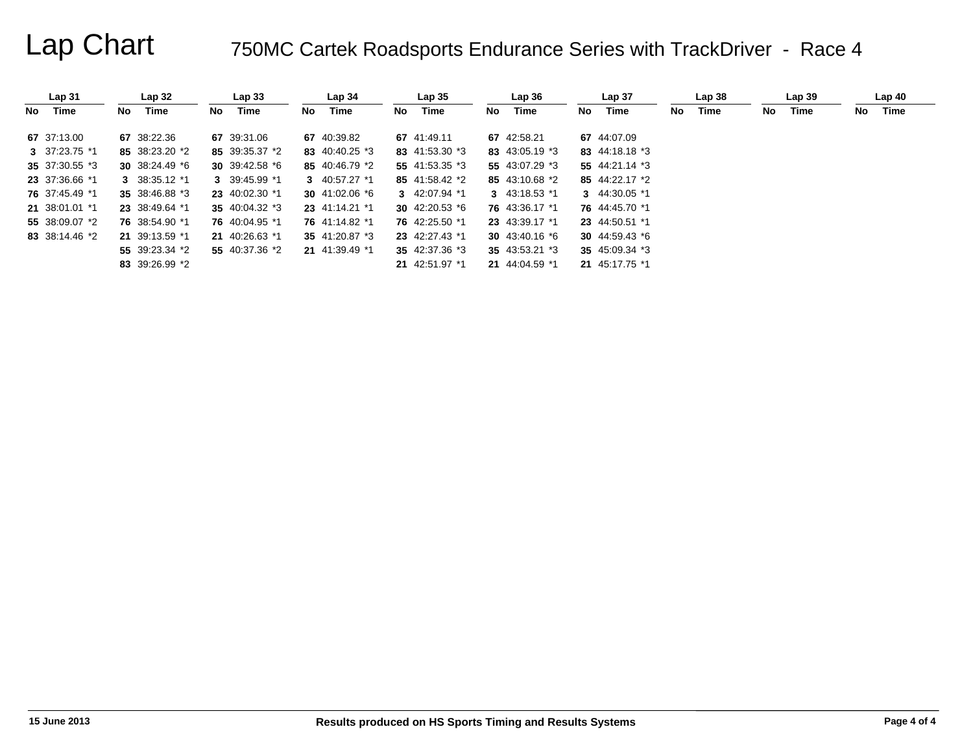|    | Lap <sub>31</sub> |     | Lap <sub>32</sub> |    | Lap <sub>33</sub> |    | Lap <sub>34</sub> |     | Lap <sub>35</sub> |    | Lap 36            |     | Lap <sub>37</sub> |    | Lap38 |     | Lap39 |    | Lap40 |  |
|----|-------------------|-----|-------------------|----|-------------------|----|-------------------|-----|-------------------|----|-------------------|-----|-------------------|----|-------|-----|-------|----|-------|--|
| No | Time              | No. | Time              | No | Time              | No | Time              | No. | Time              | No | Time              | No. | Time              | No | Time  | No. | Time  | No | Time  |  |
|    | 67 37:13.00       |     | 67 38:22.36       |    | 67 39:31.06       |    | 67 40:39.82       |     | 67 41:49.11       |    | 67 42:58.21       |     | 67 44:07.09       |    |       |     |       |    |       |  |
|    | 3 $37:23.75$ *1   |     | 85 38:23.20 *2    |    | 85 39:35.37 *2    |    | 83 40:40.25 *3    |     | 83 41:53.30 *3    |    | 83 43:05.19 *3    |     | 83 44:18.18 *3    |    |       |     |       |    |       |  |
|    | 35 37:30.55 *3    |     | 30 $38:24.49$ *6  |    | 30 39:42.58 $*$ 6 |    | 85 40:46.79 *2    |     | 55 41:53.35 *3    |    | 55 43:07.29 *3    |     | 55 44:21.14 *3    |    |       |     |       |    |       |  |
|    | 23 37:36.66 *1    |     | 3 38:35.12 *1     |    | 3 39:45.99 *1     |    | 3 $40:57.27$ *1   |     | 85 41:58.42 *2    |    | 85 43:10.68 *2    |     | 85 44:22.17 *2    |    |       |     |       |    |       |  |
|    | 76 37:45.49 *1    |     | 35 38:46.88 *3    |    | 23 40:02.30 *1    |    | 30 41:02.06 $*$ 6 |     | 3 42:07.94 *1     |    | 3 43:18.53 $*1$   |     | 3 $44:30.05$ *1   |    |       |     |       |    |       |  |
|    | 21 38:01.01 *1    |     | 23 38:49.64 *1    |    | 35 40:04.32 $*3$  |    | 23 41:14.21 *1    |     | 30 42:20.53 $*$ 6 |    | 76 43:36.17 *1    |     | 76 44:45.70 *1    |    |       |     |       |    |       |  |
|    | 55 38:09.07 *2    |     | 76 38:54.90 *1    |    | 76 40:04.95 *1    |    | 76 41:14.82 *1    |     | 76 42:25.50 *1    |    | 23 43:39.17 *1    |     | 23 44:50.51 *1    |    |       |     |       |    |       |  |
|    | 83 38:14.46 *2    |     | 21 39:13.59 *1    |    | 21 40:26.63 *1    |    | 35 41:20.87 *3    |     | 23 42:27.43 *1    |    | 30 43:40.16 $*$ 6 |     | 30 44:59.43 $*$ 6 |    |       |     |       |    |       |  |
|    |                   |     | 55 39:23.34 *2    |    | 55 40:37.36 *2    |    | 21 41:39.49 *1    |     | 35 42:37.36 *3    |    | 35 43:53.21 *3    |     | 35 45:09.34 *3    |    |       |     |       |    |       |  |
|    |                   |     | 83 39:26.99 *2    |    |                   |    |                   |     | 21 42:51.97 *1    |    | 21 44:04.59 *1    |     | 21 45:17.75 *1    |    |       |     |       |    |       |  |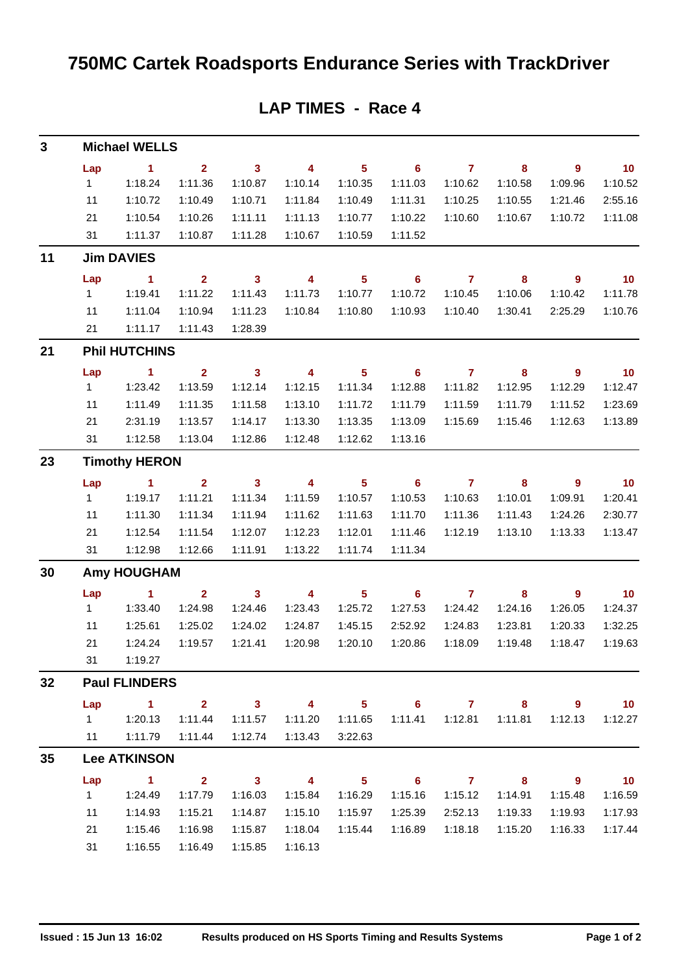| $\mathbf{3}$ |              | <b>Michael WELLS</b> |                         |                         |                         |                            |                            |                |          |                          |                 |
|--------------|--------------|----------------------|-------------------------|-------------------------|-------------------------|----------------------------|----------------------------|----------------|----------|--------------------------|-----------------|
|              | Lap          | 1.                   | $\overline{2}$          | $\overline{\mathbf{3}}$ | $\overline{\mathbf{4}}$ | $5\phantom{a}$             | 6                          | $\mathbf{7}$   | 8        | $\overline{9}$           | 10 <sub>1</sub> |
|              | $\mathbf{1}$ | 1:18.24              | 1:11.36                 | 1:10.87                 | 1:10.14                 | 1:10.35                    | 1:11.03                    | 1:10.62        | 1:10.58  | 1:09.96                  | 1:10.52         |
|              | 11           | 1:10.72              | 1:10.49                 | 1:10.71                 | 1:11.84                 | 1:10.49                    | 1:11.31                    | 1:10.25        | 1:10.55  | 1:21.46                  | 2:55.16         |
|              | 21           | 1:10.54              | 1:10.26                 | 1:11.11                 | 1:11.13                 | 1:10.77                    | 1:10.22                    | 1:10.60        | 1:10.67  | 1:10.72                  | 1:11.08         |
|              | 31           | 1:11.37              | 1:10.87                 | 1:11.28                 | 1:10.67                 | 1:10.59                    | 1:11.52                    |                |          |                          |                 |
| 11           |              | <b>Jim DAVIES</b>    |                         |                         |                         |                            |                            |                |          |                          |                 |
|              | Lap          | 1                    | $\overline{2}$          | $\mathbf{3}$            | 4                       | $5\phantom{.0}$            | 6                          | $\overline{7}$ | 8        | 9                        | 10              |
|              | 1            | 1:19.41              | 1:11.22                 | 1:11.43                 | 1:11.73                 | 1:10.77                    | 1:10.72                    | 1:10.45        | 1:10.06  | 1:10.42                  | 1:11.78         |
|              | 11           | 1:11.04              | 1:10.94                 | 1:11.23                 | 1:10.84                 | 1:10.80                    | 1:10.93                    | 1:10.40        | 1:30.41  | 2:25.29                  | 1:10.76         |
|              | 21           | 1:11.17              | 1:11.43                 | 1:28.39                 |                         |                            |                            |                |          |                          |                 |
| 21           |              | <b>Phil HUTCHINS</b> |                         |                         |                         |                            |                            |                |          |                          |                 |
|              | Lap          | $\blacktriangleleft$ | $\overline{2}$          | $\overline{\mathbf{3}}$ | $\overline{\mathbf{4}}$ | $5\phantom{a}$             | $6\phantom{1}6$            | $\overline{7}$ | 8        | $\overline{9}$           | 10              |
|              | $\mathbf{1}$ | 1:23.42              | 1:13.59                 | 1:12.14                 | 1:12.15                 | 1:11.34                    | 1:12.88                    | 1:11.82        | 1:12.95  | 1:12.29                  | 1:12.47         |
|              | 11           | 1:11.49              | 1:11.35                 | 1:11.58                 | 1:13.10                 | 1:11.72                    | 1:11.79                    | 1:11.59        | 1:11.79  | 1:11.52                  | 1:23.69         |
|              | 21           | 2:31.19              | 1:13.57                 | 1:14.17                 | 1:13.30                 | 1:13.35                    | 1:13.09                    | 1:15.69        | 1:15.46  | 1:12.63                  | 1:13.89         |
|              | 31           | 1:12.58              | 1:13.04                 | 1:12.86                 | 1:12.48                 | 1:12.62                    | 1:13.16                    |                |          |                          |                 |
| 23           |              | <b>Timothy HERON</b> |                         |                         |                         |                            |                            |                |          |                          |                 |
|              | Lap          | $\blacktriangleleft$ | $\overline{2}$          | $\mathbf{3}$            | $\overline{\mathbf{4}}$ | $5\phantom{.0}$            | $6\phantom{1}$             | $\overline{7}$ | $\bf{8}$ | 9                        | 10              |
|              | $\mathbf{1}$ | 1:19.17              | 1:11.21                 | 1:11.34                 | 1:11.59                 | 1:10.57                    | 1:10.53                    | 1:10.63        | 1:10.01  | 1:09.91                  | 1:20.41         |
|              | 11           | 1:11.30              | 1:11.34                 | 1:11.94                 | 1:11.62                 | 1:11.63                    | 1:11.70                    | 1:11.36        | 1:11.43  | 1:24.26                  | 2:30.77         |
|              | 21           | 1:12.54              | 1:11.54                 | 1:12.07                 | 1:12.23                 | 1:12.01                    | 1:11.46                    | 1:12.19        | 1:13.10  | 1:13.33                  | 1:13.47         |
|              | 31           | 1:12.98              | 1:12.66                 | 1:11.91                 | 1:13.22                 | 1:11.74                    | 1:11.34                    |                |          |                          |                 |
| 30           |              | <b>Amy HOUGHAM</b>   |                         |                         |                         |                            |                            |                |          |                          |                 |
|              | Lap          | $\blacktriangleleft$ | $\overline{2}$          | $\mathbf{3}$            | $\overline{\mathbf{4}}$ | $\overline{\mathbf{5}}$    | $6\phantom{1}$             | $\overline{7}$ | $\bf{8}$ | 9                        | 10              |
|              | 1            | 1:33.40              | 1:24.98                 | 1:24.46                 | 1:23.43                 | 1:25.72                    | 1:27.53                    | 1:24.42        | 1:24.16  | 1:26.05                  | 1:24.37         |
|              | 11           | 1:25.61              | 1:25.02                 | 1:24.02                 | 1:24.87                 | 1:45.15                    | 2:52.92                    | 1:24.83        | 1:23.81  | 1:20.33                  | 1:32.25         |
|              | 21           | 1:24.24              | 1:19.57                 | 1:21.41                 | 1:20.98                 | 1:20.10                    | 1:20.86                    | 1:18.09        | 1:19.48  | 1:18.47                  | 1:19.63         |
|              | 31           | 1:19.27              |                         |                         |                         |                            |                            |                |          |                          |                 |
| 32           |              | <b>Paul FLINDERS</b> |                         |                         |                         |                            |                            |                |          |                          |                 |
|              | Lap          | $\sim$ 1             | $2^{\circ}$             | $\overline{\mathbf{3}}$ | $\overline{4}$          | 5 <sub>5</sub>             | $\overline{\phantom{0}}$ 6 | $\overline{7}$ | 8        | $9^{\circ}$              | 10              |
|              | $1 \quad$    | 1:20.13              | 1:11.44                 | 1:11.57                 | 1:11.20                 | 1:11.65                    | 1:11.41                    | 1:12.81        | 1:11.81  | 1:12.13                  | 1:12.27         |
|              | 11           | 1:11.79              | 1:11.44                 | 1:12.74                 | 1:13.43                 | 3:22.63                    |                            |                |          |                          |                 |
| 35           |              | <b>Lee ATKINSON</b>  |                         |                         |                         |                            |                            |                |          |                          |                 |
|              | Lap          | $\sim$ 1             | $\overline{\mathbf{2}}$ | $\overline{\mathbf{3}}$ | $\overline{4}$          | $\overline{\phantom{0}}$ 5 | $\overline{\phantom{a}}$ 6 | 7 8            |          | $\overline{\phantom{a}}$ | $\overline{10}$ |
|              | 1            | 1:24.49              | 1:17.79                 | 1:16.03                 | 1:15.84                 | 1:16.29                    | 1:15.16                    | 1:15.12        | 1:14.91  | 1:15.48                  | 1:16.59         |
|              | 11           | 1:14.93              | 1:15.21                 | 1:14.87                 | 1:15.10                 | 1:15.97                    | 1:25.39                    | 2:52.13        | 1:19.33  | 1:19.93                  | 1:17.93         |
|              | 21           | 1:15.46              | 1:16.98                 | 1:15.87                 | 1:18.04                 | 1:15.44                    | 1:16.89                    | 1:18.18        | 1:15.20  | 1:16.33                  | 1:17.44         |
|              | 31           | 1:16.55              | 1:16.49                 | 1:15.85                 | 1:16.13                 |                            |                            |                |          |                          |                 |

### **LAP TIMES - Race 4**